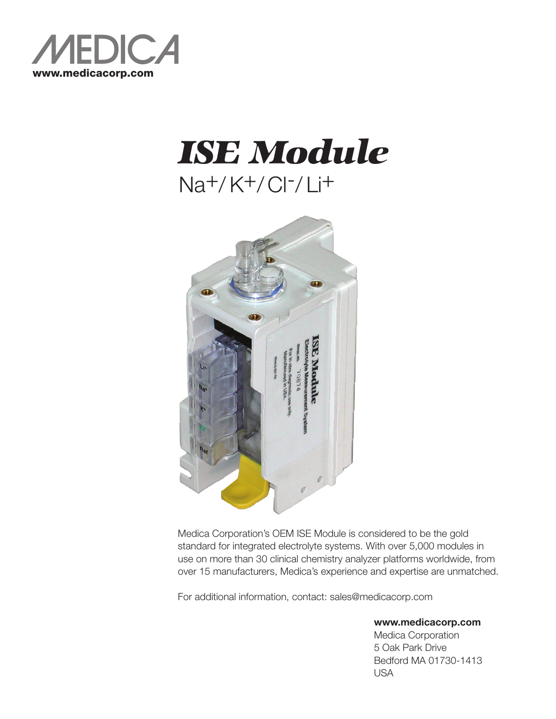

## *ISE Module* Na+/ K+/ Cl-/ Li+



Medica Corporation's OEM ISE Module is considered to be the gold standard for integrated electrolyte systems. With over 5,000 modules in use on more than 30 clinical chemistry analyzer platforms worldwide, from over 15 manufacturers, Medica's experience and expertise are unmatched.

For additional information, contact: sales@medicacorp.com

**www.medicacorp.com**

Medica Corporation 5 Oak Park Drive Bedford MA 01730-1413 USA